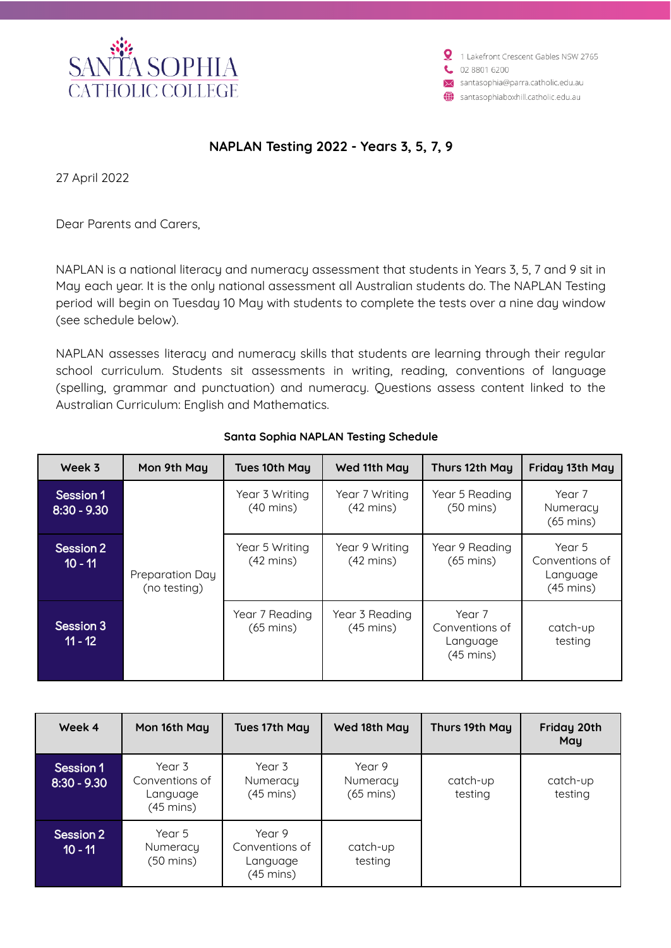

1 Lakefront Crescent Gables NSW 2765 02 8801 6200 santasophia@parra.catholic.edu.au santasophiaboxhill.catholic.edu.au

## **NAPLAN Testing 2022 - Years 3, 5, 7, 9**

27 April 2022

Dear Parents and Carers,

NAPLAN is a national literacy and numeracy assessment that students in Years 3, 5, 7 and 9 sit in May each year. It is the only national assessment all Australian students do. The NAPLAN Testing period will begin on Tuesday 10 May with students to complete the tests over a nine day window (see schedule below).

NAPLAN assesses literacy and numeracy skills that students are learning through their regular school curriculum. Students sit assessments in writing, reading, conventions of language (spelling, grammar and punctuation) and numeracy. Questions assess content linked to the Australian Curriculum: English and Mathematics.

| Week 3                     | Mon 9th May                     | Tues 10th May                         | Wed 11th May                          | Thurs 12th May                                              | Friday 13th May                                             |
|----------------------------|---------------------------------|---------------------------------------|---------------------------------------|-------------------------------------------------------------|-------------------------------------------------------------|
| Session 1<br>$8:30 - 9.30$ | Preparation Day<br>(no testing) | Year 3 Writing<br>$(40 \text{ mins})$ | Year 7 Writing<br>$(42 \text{ mins})$ | Year 5 Reading<br>$(50 \text{ mins})$                       | Year 7<br>Numeracy<br>$(65 \text{ mins})$                   |
| Session 2<br>$10 - 11$     |                                 | Year 5 Writing<br>$(42 \text{ mins})$ | Year 9 Writing<br>$(42 \text{ mins})$ | Year 9 Reading<br>$(65 \text{ mins})$                       | Year 5<br>Conventions of<br>Language<br>$(45 \text{ mins})$ |
| Session 3<br>$11 - 12$     |                                 | Year 7 Reading<br>$(65 \text{ mins})$ | Year 3 Reading<br>$(45 \text{ mins})$ | Year 7<br>Conventions of<br>Language<br>$(45 \text{ mins})$ | catch-up<br>testing                                         |

## **Santa Sophia NAPLAN Testing Schedule**

| Week 4                      | Mon 16th May                                      | Tues 17th May                                     | Wed 18th May                              | Thurs 19th May      | Friday 20th<br>Mau  |
|-----------------------------|---------------------------------------------------|---------------------------------------------------|-------------------------------------------|---------------------|---------------------|
| Session 1<br>$18:30 - 9.30$ | Year 3<br>Conventions of<br>Language<br>(45 mins) | Year 3<br>Numeracy<br>$(45 \text{ mins})$         | Year 9<br>Numeracy<br>$(65 \text{ mins})$ | catch-up<br>testing | catch-up<br>testing |
| Session 2<br>$10 - 11$      | Year 5<br>Numeracy<br>(50 mins)                   | Year 9<br>Conventions of<br>Language<br>(45 mins) | catch-up<br>testing                       |                     |                     |